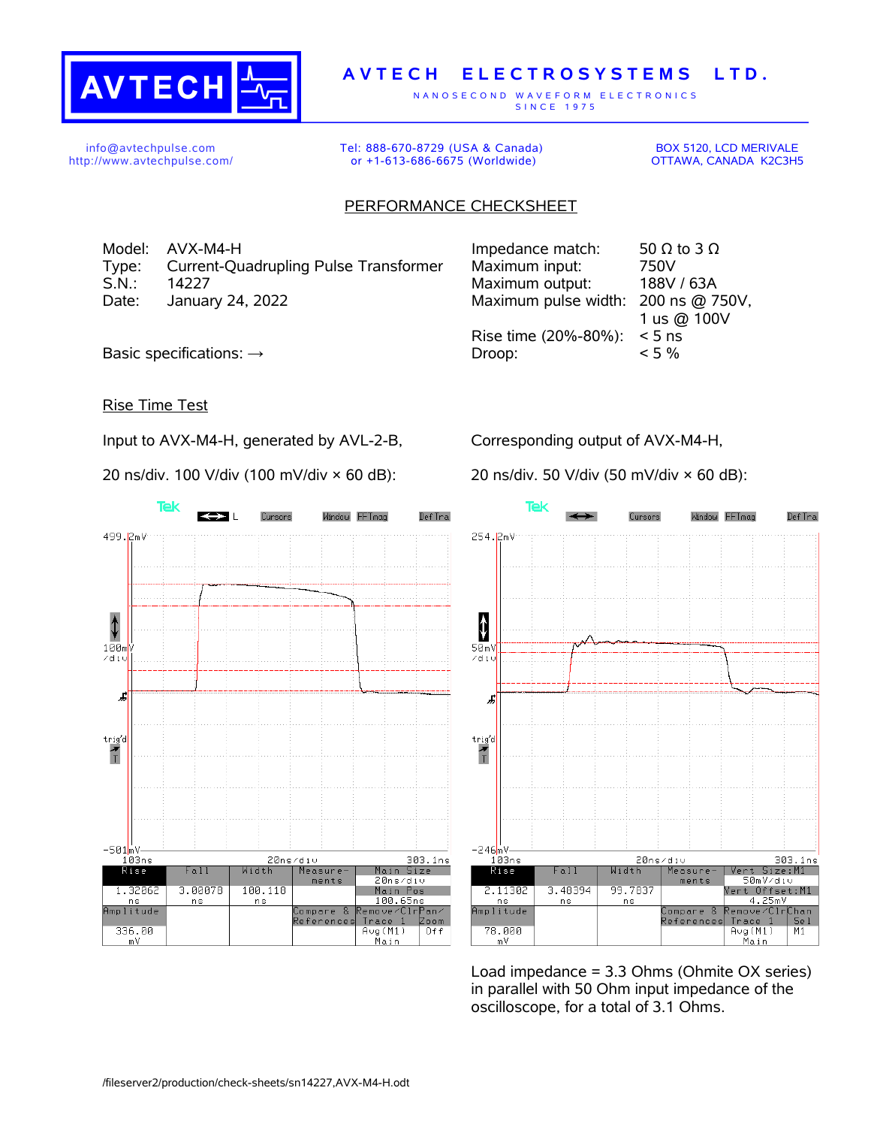

## **A V T E C H E L E C T R O S Y S T E M S L T D .**

N A N O S E C O N D W A V E F O R M E L E C T R O N I C S S IN C E 1975

info@avtechpulse.com http://www.avtechpulse.com/ Tel: 888-670-8729 (USA & Canada) or +1-613-686-6675 (Worldwide)

BOX 5120, LCD MERIVALE OTTAWA, CANADA K2C3H5

## PERFORMANCE CHECKSHEET

Model:  $AVX-M4-H$  Impedance match: 50  $\Omega$  to 3  $\Omega$ Type: Current-Quadrupling Pulse Transformer S.N.: 14227 Maximum output: 188V / 63A Date: January 24, 2022

| Impedance match:     | 50 $\Omega$ to 3 $\Omega$ |
|----------------------|---------------------------|
| Maximum input:       | 750V                      |
| Maximum output:      | 188V / 63A                |
| Maximum pulse width: | 200 ns @ 750V,            |
|                      | 1 us @ 100V               |
| Rise time (20%-80%): | $< 5$ ns                  |
| Droop:               | $< 5\%$                   |
|                      |                           |

Basic specifications:  $\rightarrow$ 

## Rise Time Test

Input to AVX-M4-H, generated by AVL-2-B,

20 ns/div. 100 V/div (100 mV/div × 60 dB):

Corresponding output of AVX-M4-H,

20 ns/div. 50 V/div (50 mV/div × 60 dB):





Load impedance = 3.3 Ohms (Ohmite OX series) in parallel with 50 Ohm input impedance of the oscilloscope, for a total of 3.1 Ohms.